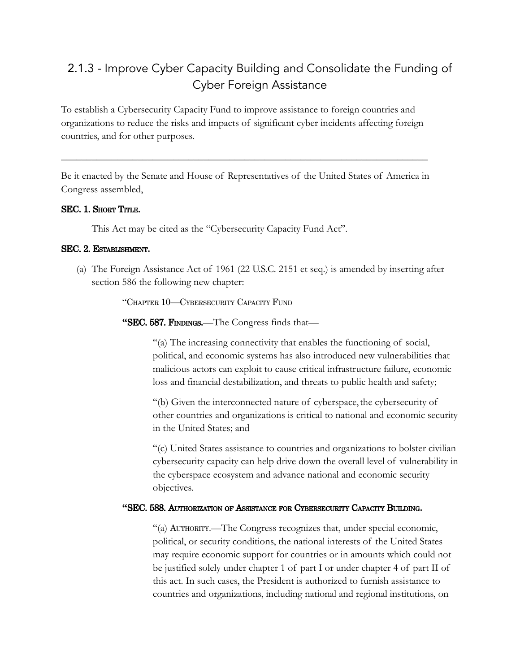# 2.1.3 - Improve Cyber Capacity Building and Consolidate the Funding of Cyber Foreign Assistance

To establish a Cybersecurity Capacity Fund to improve assistance to foreign countries and organizations to reduce the risks and impacts of significant cyber incidents affecting foreign countries, and for other purposes.

Be it enacted by the Senate and House of Representatives of the United States of America in Congress assembled,

\_\_\_\_\_\_\_\_\_\_\_\_\_\_\_\_\_\_\_\_\_\_\_\_\_\_\_\_\_\_\_\_\_\_\_\_\_\_\_\_\_\_\_\_\_\_\_\_\_\_\_\_\_\_\_\_\_\_\_\_\_\_\_\_\_\_\_\_\_\_\_\_

## SEC. 1. SHORT TITLE.

This Act may be cited as the "Cybersecurity Capacity Fund Act".

## SEC. 2. ESTABLISHMENT**.**

(a) The Foreign Assistance Act of 1961 (22 U.S.C. 2151 et seq.) is amended by inserting after section 586 the following new chapter:

"CHAPTER 10—CYBERSECURITY CAPACITY FUND

**"**SEC. 587. FINDINGS.—The Congress finds that—

"(a) The increasing connectivity that enables the functioning of social, political, and economic systems has also introduced new vulnerabilities that malicious actors can exploit to cause critical infrastructure failure, economic loss and financial destabilization, and threats to public health and safety;

"(b) Given the interconnected nature of cyberspace, the cybersecurity of other countries and organizations is critical to national and economic security in the United States; and

"(c) United States assistance to countries and organizations to bolster civilian cybersecurity capacity can help drive down the overall level of vulnerability in the cyberspace ecosystem and advance national and economic security objectives.

### **"**SEC. 588. AUTHORIZATION OF ASSISTANCE FOR CYBERSECURITY CAPACITY BUILDING**.**

"(a) AUTHORITY.—The Congress recognizes that, under special economic, political, or security conditions, the national interests of the United States may require economic support for countries or in amounts which could not be justified solely under chapter 1 of part I or under chapter 4 of part II of this act. In such cases, the President is authorized to furnish assistance to countries and organizations, including national and regional institutions, on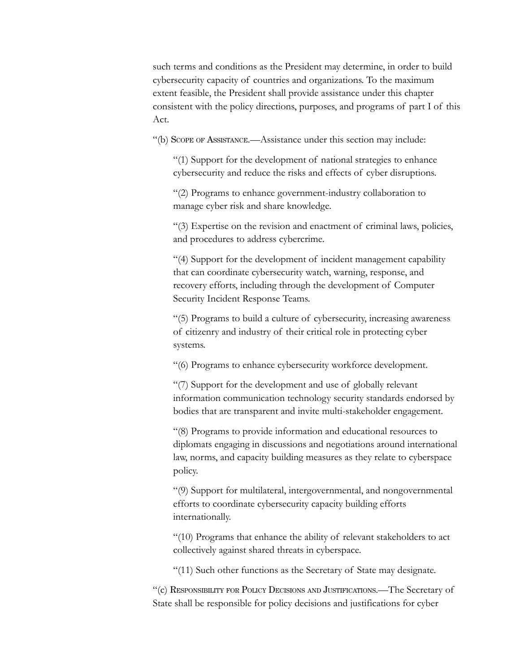such terms and conditions as the President may determine, in order to build cybersecurity capacity of countries and organizations. To the maximum extent feasible, the President shall provide assistance under this chapter consistent with the policy directions, purposes, and programs of part I of this Act.

"(b) SCOPE OF ASSISTANCE.—Assistance under this section may include:

"(1) Support for the development of national strategies to enhance cybersecurity and reduce the risks and effects of cyber disruptions.

"(2) Programs to enhance government-industry collaboration to manage cyber risk and share knowledge.

"(3) Expertise on the revision and enactment of criminal laws, policies, and procedures to address cybercrime.

"(4) Support for the development of incident management capability that can coordinate cybersecurity watch, warning, response, and recovery efforts, including through the development of Computer Security Incident Response Teams.

"(5) Programs to build a culture of cybersecurity, increasing awareness of citizenry and industry of their critical role in protecting cyber systems.

"(6) Programs to enhance cybersecurity workforce development.

"(7) Support for the development and use of globally relevant information communication technology security standards endorsed by bodies that are transparent and invite multi-stakeholder engagement.

"(8) Programs to provide information and educational resources to diplomats engaging in discussions and negotiations around international law, norms, and capacity building measures as they relate to cyberspace policy.

"(9) Support for multilateral, intergovernmental, and nongovernmental efforts to coordinate cybersecurity capacity building efforts internationally.

"(10) Programs that enhance the ability of relevant stakeholders to act collectively against shared threats in cyberspace.

"(11) Such other functions as the Secretary of State may designate.

"(c) RESPONSIBILITY FOR POLICY DECISIONS AND JUSTIFICATIONS.—The Secretary of State shall be responsible for policy decisions and justifications for cyber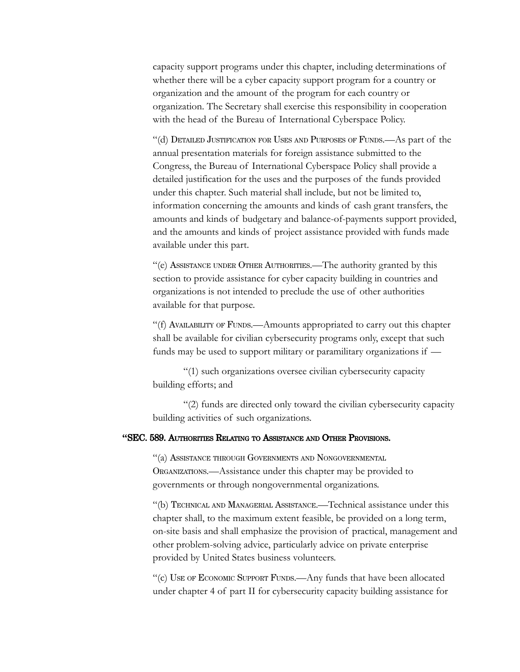capacity support programs under this chapter, including determinations of whether there will be a cyber capacity support program for a country or organization and the amount of the program for each country or organization. The Secretary shall exercise this responsibility in cooperation with the head of the Bureau of International Cyberspace Policy.

"(d) DETAILED JUSTIFICATION FOR USES AND PURPOSES OF FUNDS.—As part of the annual presentation materials for foreign assistance submitted to the Congress, the Bureau of International Cyberspace Policy shall provide a detailed justification for the uses and the purposes of the funds provided under this chapter. Such material shall include, but not be limited to, information concerning the amounts and kinds of cash grant transfers, the amounts and kinds of budgetary and balance-of-payments support provided, and the amounts and kinds of project assistance provided with funds made available under this part.

"(e) ASSISTANCE UNDER OTHER AUTHORITIES.—The authority granted by this section to provide assistance for cyber capacity building in countries and organizations is not intended to preclude the use of other authorities available for that purpose.

"(f) AVAILABILITY OF FUNDS.—Amounts appropriated to carry out this chapter shall be available for civilian cybersecurity programs only, except that such funds may be used to support military or paramilitary organizations if —

"(1) such organizations oversee civilian cybersecurity capacity building efforts; and

"(2) funds are directed only toward the civilian cybersecurity capacity building activities of such organizations.

## **"**SEC. 589. AUTHORITIES RELATING TO ASSISTANCE AND OTHER PROVISIONS.

"(a) ASSISTANCE THROUGH GOVERNMENTS AND NONGOVERNMENTAL ORGANIZATIONS.—Assistance under this chapter may be provided to governments or through nongovernmental organizations.

"(b) TECHNICAL AND MANAGERIAL ASSISTANCE.—Technical assistance under this chapter shall, to the maximum extent feasible, be provided on a long term, on-site basis and shall emphasize the provision of practical, management and other problem-solving advice, particularly advice on private enterprise provided by United States business volunteers.

"(c) USE OF ECONOMIC SUPPORT FUNDS.—Any funds that have been allocated under chapter 4 of part II for cybersecurity capacity building assistance for